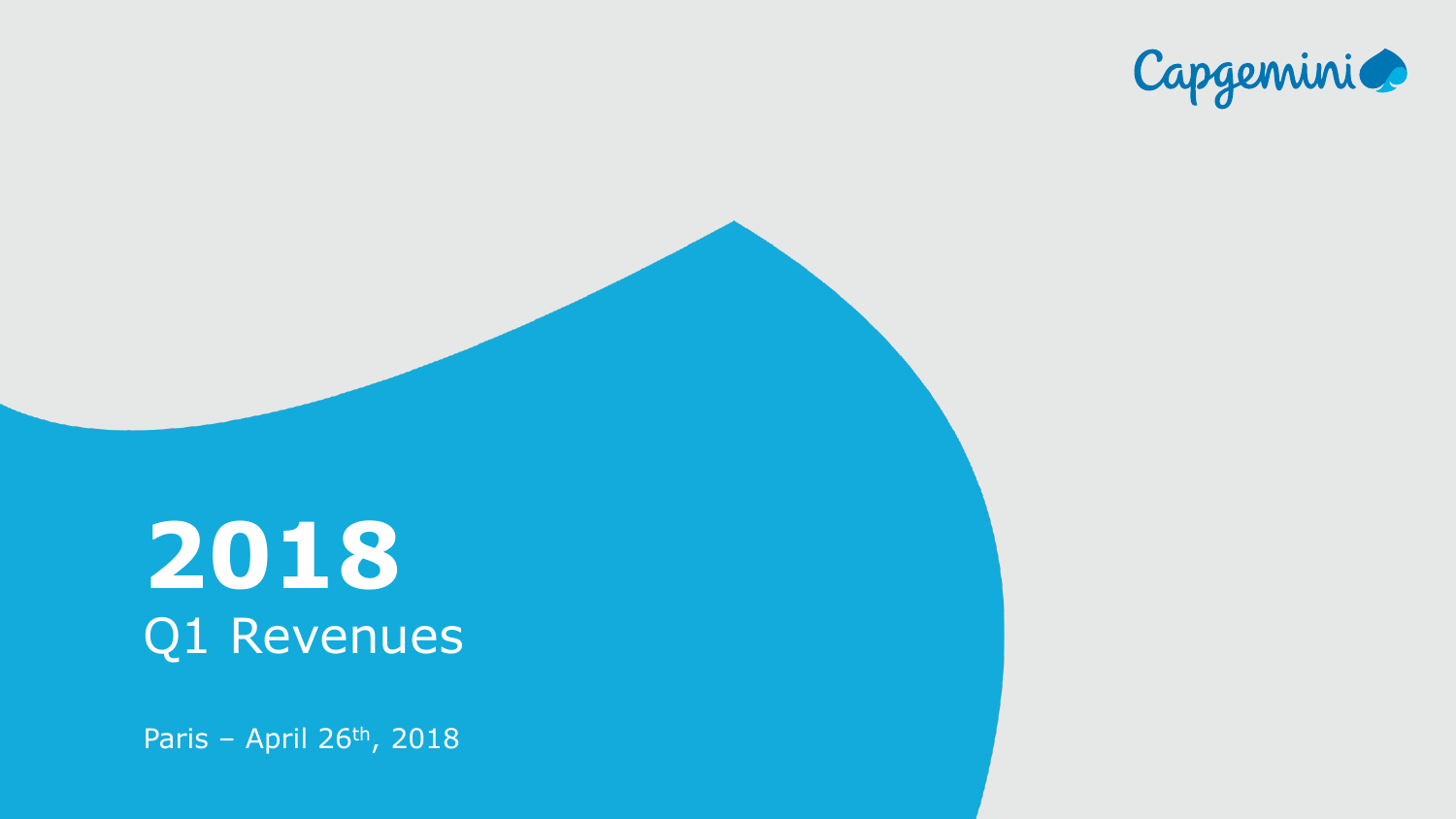

Title of the presentation of the presentation

## **2018** Q1 Revenues

Paris – April 26th, 2018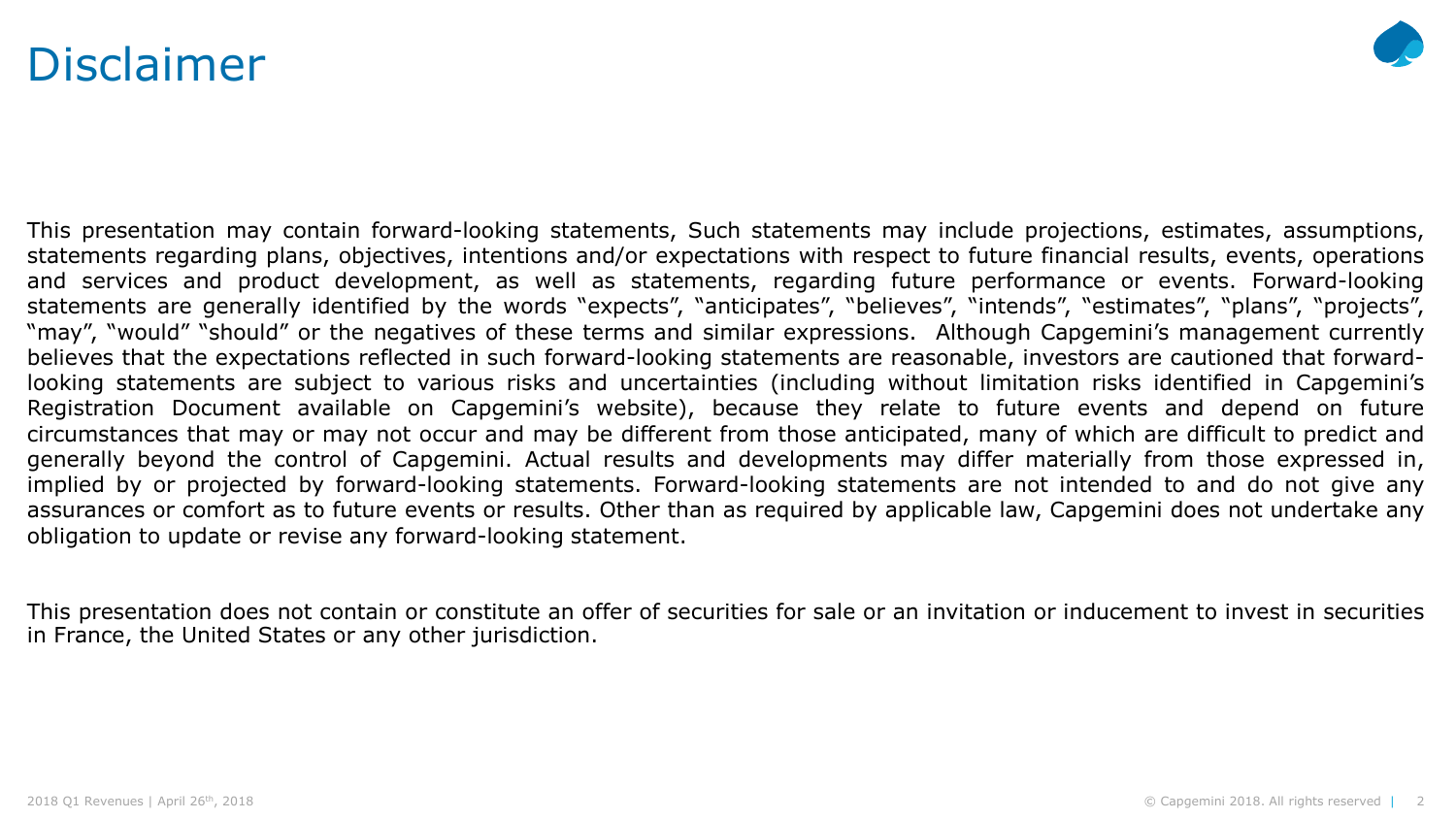### Disclaimer



This presentation may contain forward-looking statements, Such statements may include projections, estimates, assumptions, statements regarding plans, objectives, intentions and/or expectations with respect to future financial results, events, operations and services and product development, as well as statements, regarding future performance or events. Forward-looking statements are generally identified by the words "expects", "anticipates", "believes", "intends", "estimates", "plans", "projects", "may", "would" "should" or the negatives of these terms and similar expressions. Although Capgemini's management currently believes that the expectations reflected in such forward-looking statements are reasonable, investors are cautioned that forwardlooking statements are subject to various risks and uncertainties (including without limitation risks identified in Capgemini's Registration Document available on Capgemini's website), because they relate to future events and depend on future circumstances that may or may not occur and may be different from those anticipated, many of which are difficult to predict and generally beyond the control of Capgemini. Actual results and developments may differ materially from those expressed in, implied by or projected by forward-looking statements. Forward-looking statements are not intended to and do not give any assurances or comfort as to future events or results. Other than as required by applicable law, Capgemini does not undertake any obligation to update or revise any forward-looking statement.

This presentation does not contain or constitute an offer of securities for sale or an invitation or inducement to invest in securities in France, the United States or any other jurisdiction.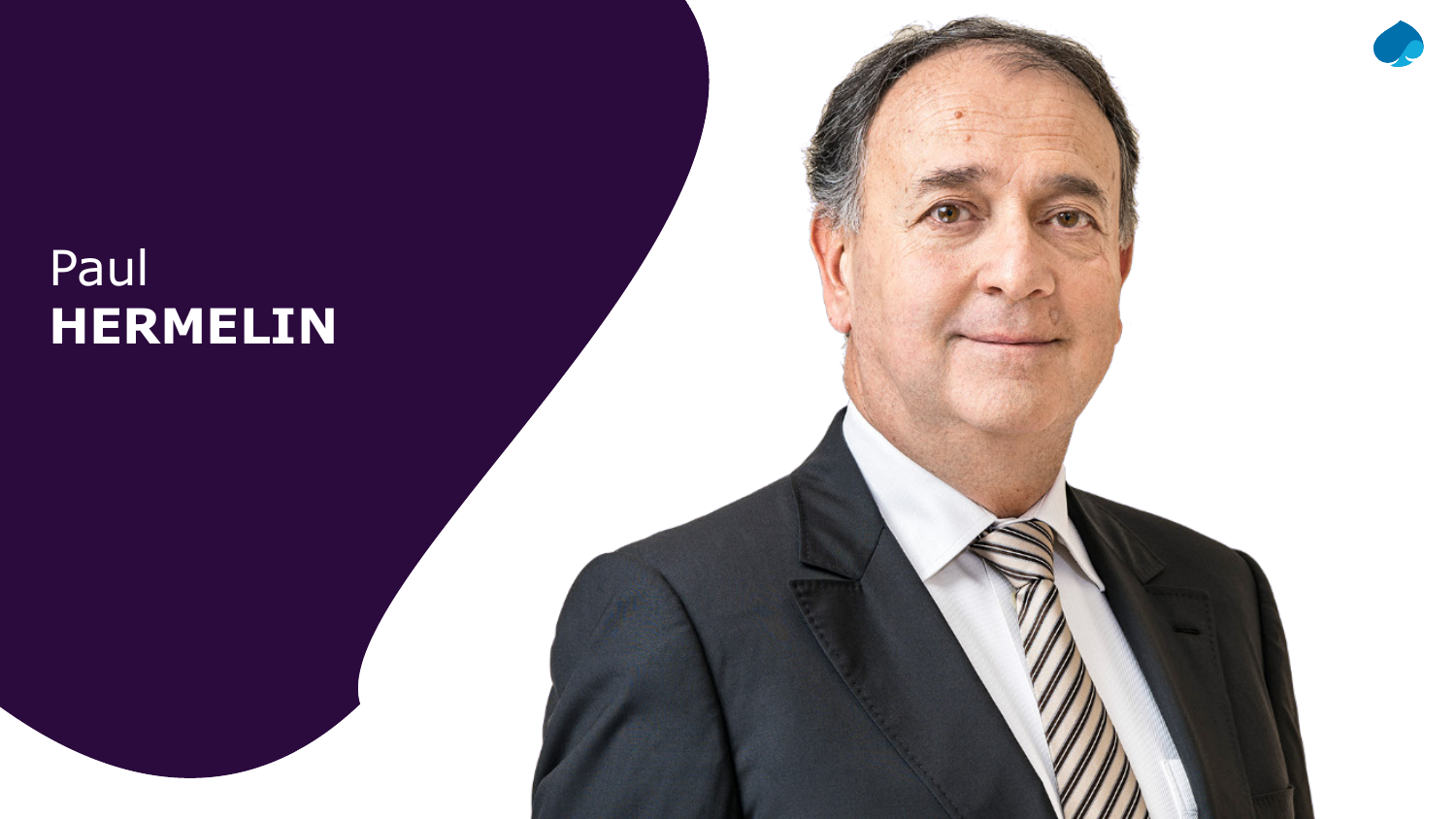### Paul **HERMELIN**

 $2018$  april 26th, 2018  $\mu$  rights reserved.  $\mu$  rights reserved.  $\mu$  and  $\mu$  rights reserved.  $\mu$ 

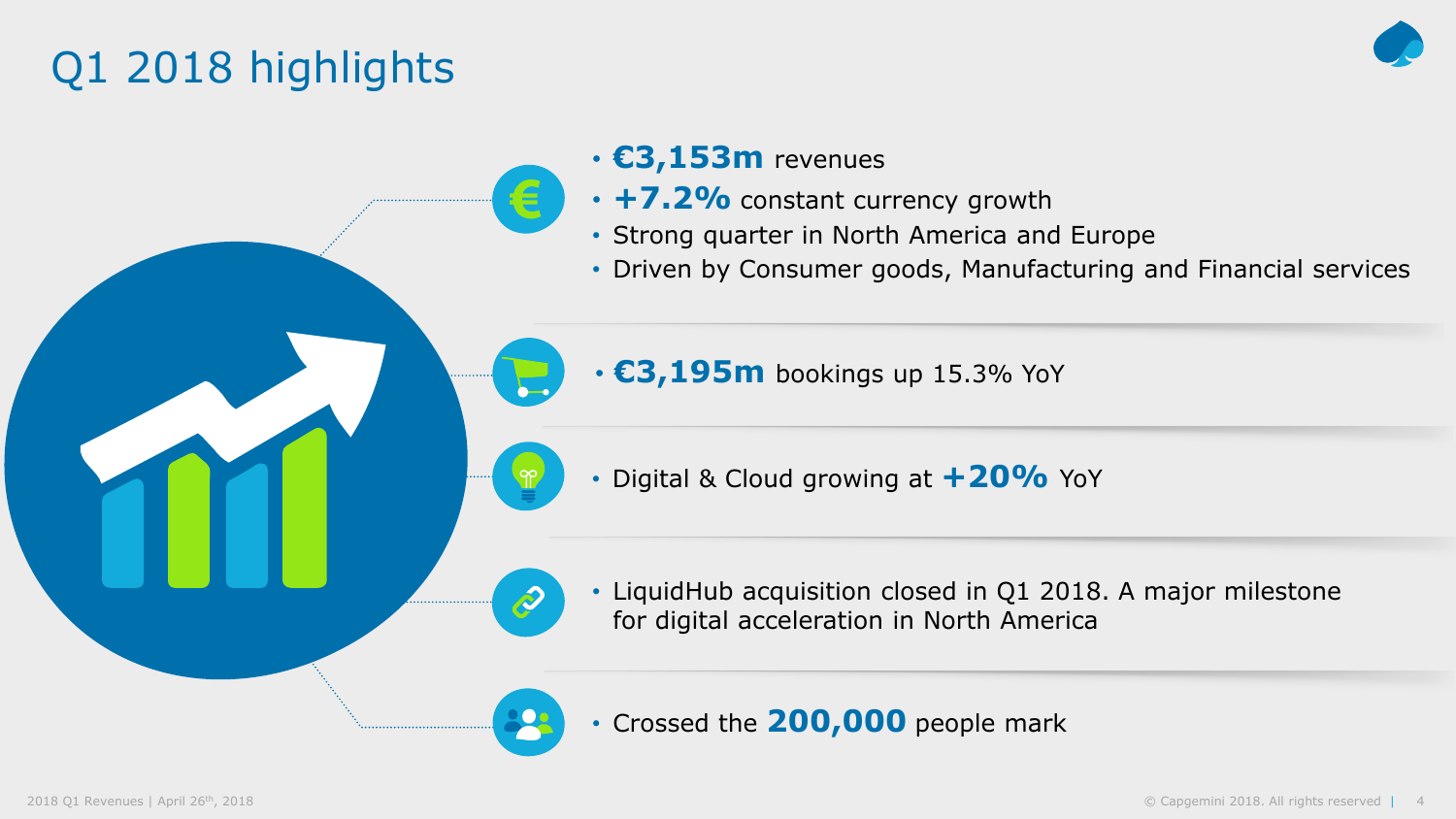### Q1 2018 highlights



#### • **€3,153m** revenues

- **+7.2%** constant currency growth
- Strong quarter in North America and Europe
- Driven by Consumer goods, Manufacturing and Financial services

• €3,195m bookings up 15.3% YoY

- Digital & Cloud growing at **+20%** YoY
- LiquidHub acquisition closed in Q1 2018. A major milestone for digital acceleration in North America

• Crossed the **200,000** people mark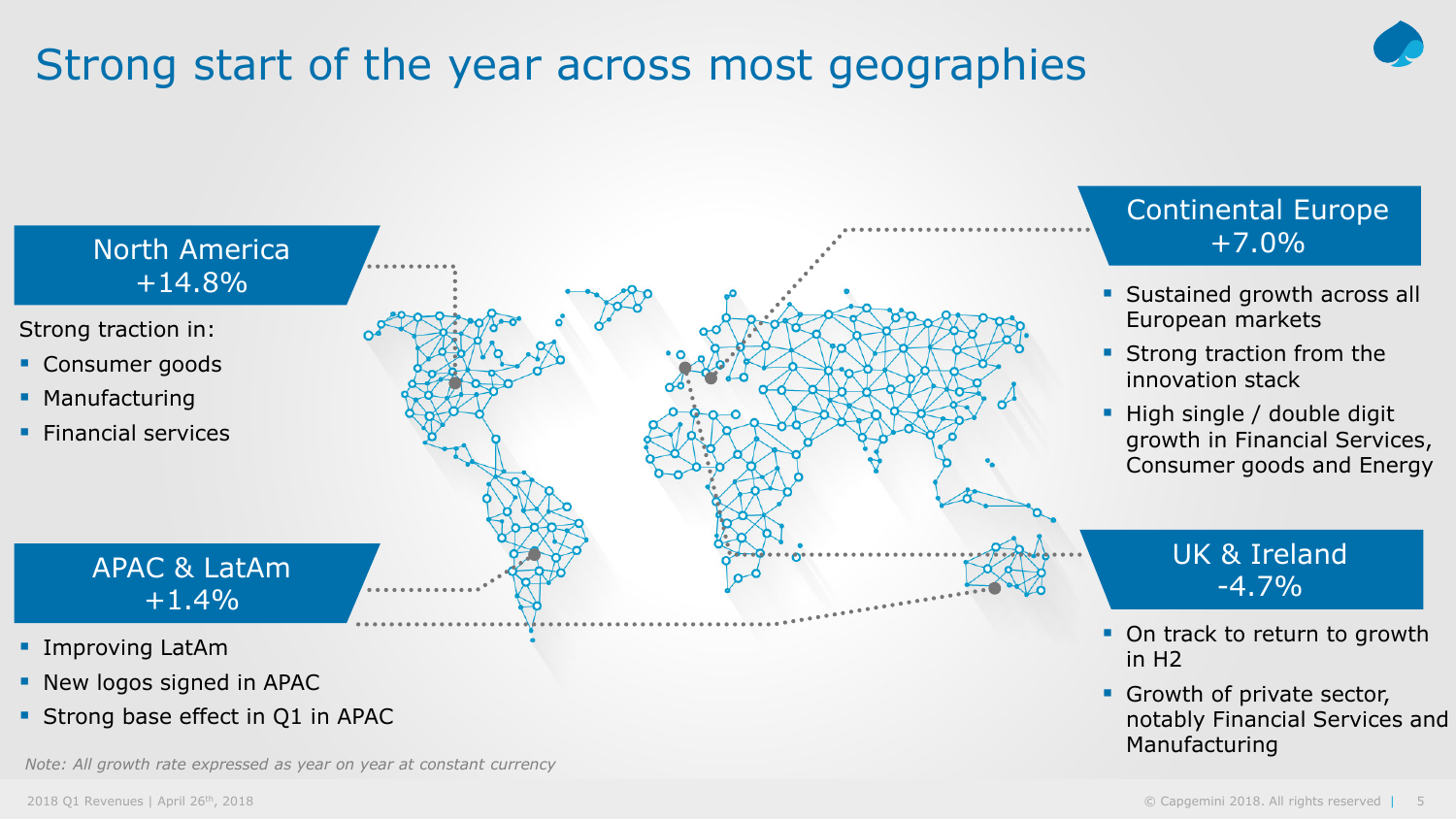### Strong start of the year across most geographies

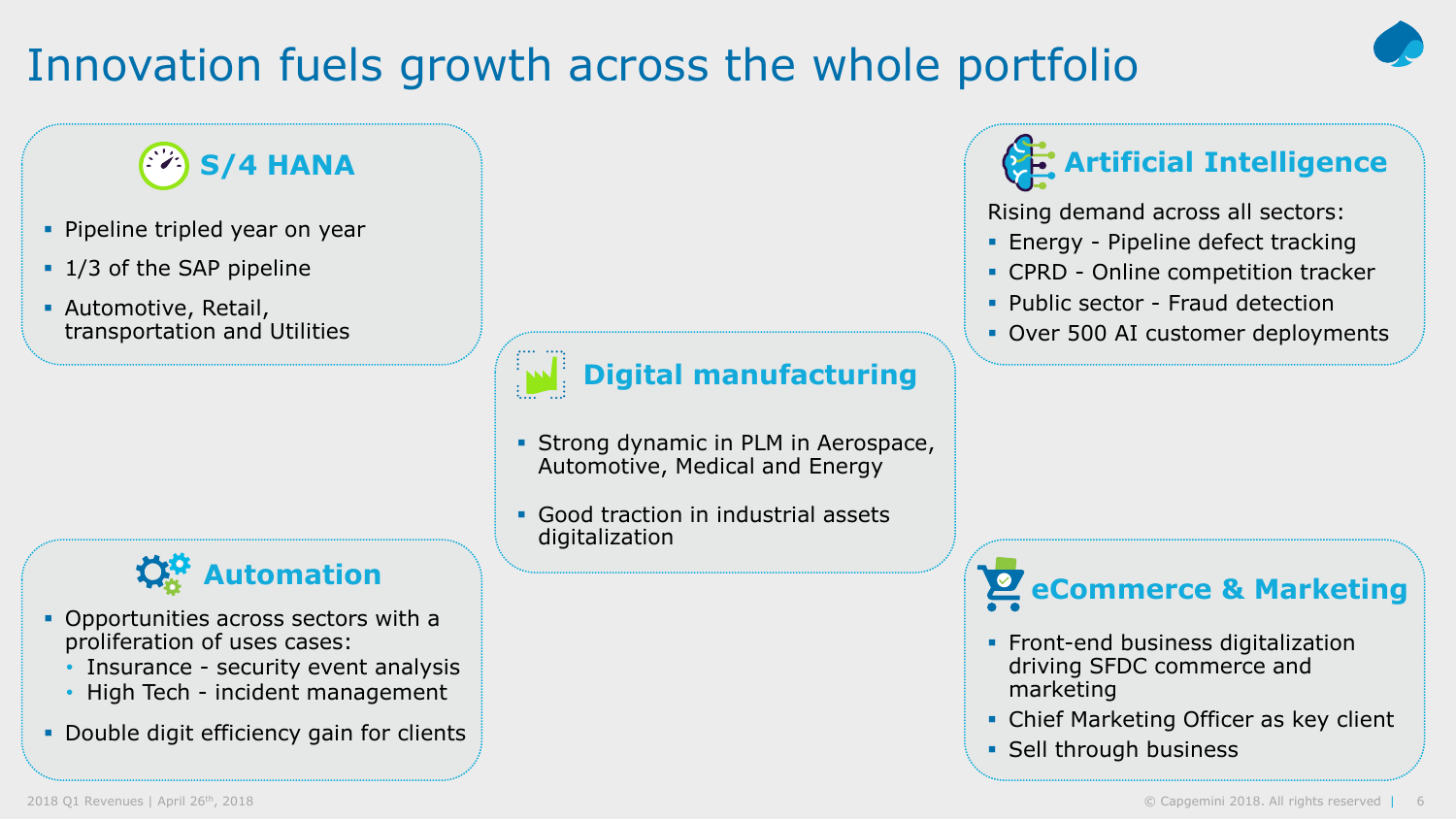### Innovation fuels growth across the whole portfolio

### **S/4 HANA**

- **Pipeline tripled year on year**
- **1/3 of the SAP pipeline**
- Automotive, Retail, transportation and Utilities



- Opportunities across sectors with a proliferation of uses cases:
	- Insurance security event analysis
	- High Tech incident management
- **Double digit efficiency gain for clients**



### **Digital manufacturing**

- **Strong dynamic in PLM in Aerospace,** Automotive, Medical and Energy
- **Good traction in industrial assets** digitalization



Rising demand across all sectors:

- **Energy Pipeline defect tracking**
- CPRD Online competition tracker
- Public sector Fraud detection
- Over 500 AI customer deployments

**C<sub>C</sub>** Automation **Automation** 

- **Front-end business digitalization** driving SFDC commerce and marketing
- **Chief Marketing Officer as key client**
- **Sell through business**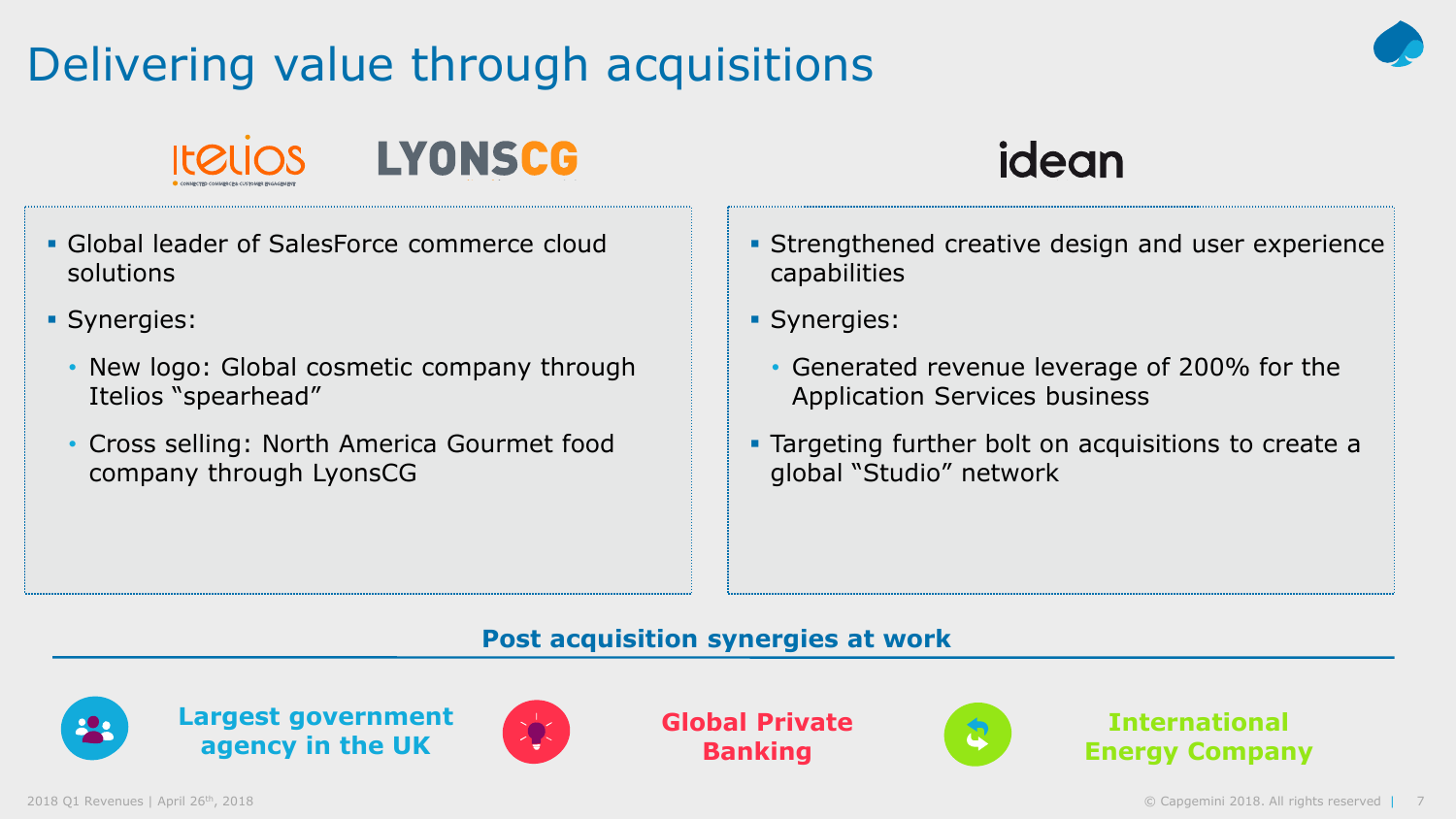### Delivering value through acquisitions







idean

- Global leader of SalesForce commerce cloud solutions
- **Synergies:** 
	- New logo: Global cosmetic company through Itelios "spearhead"
	- Cross selling: North America Gourmet food company through LyonsCG
- **Strengthened creative design and user experience** capabilities
- **Synergies:** 
	- Generated revenue leverage of 200% for the Application Services business
- **Targeting further bolt on acquisitions to create a** global "Studio" network

#### **Post acquisition synergies at work**





**Global Private Banking**



**International Energy Company**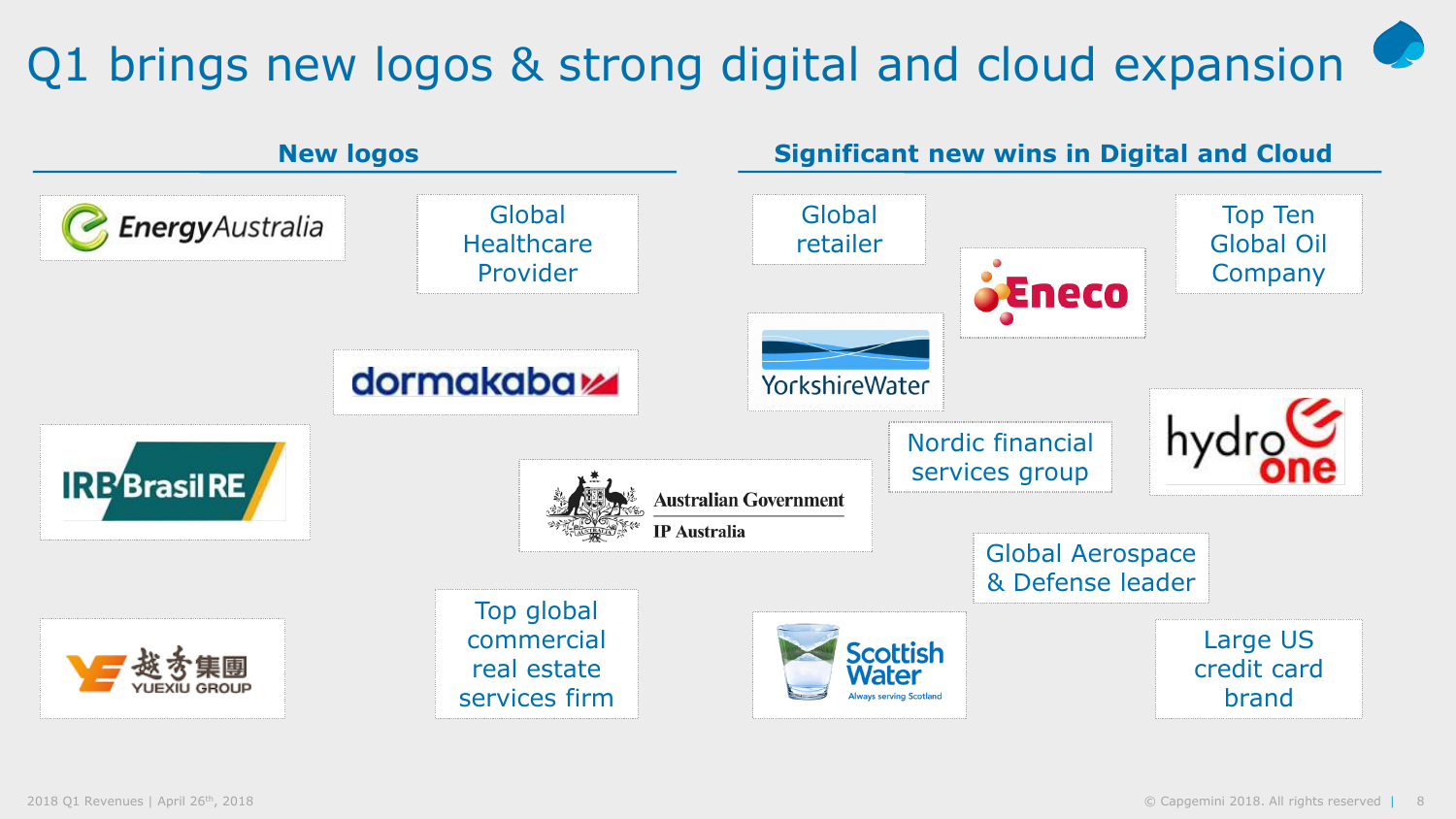### Q1 brings new logos & strong digital and cloud expansion

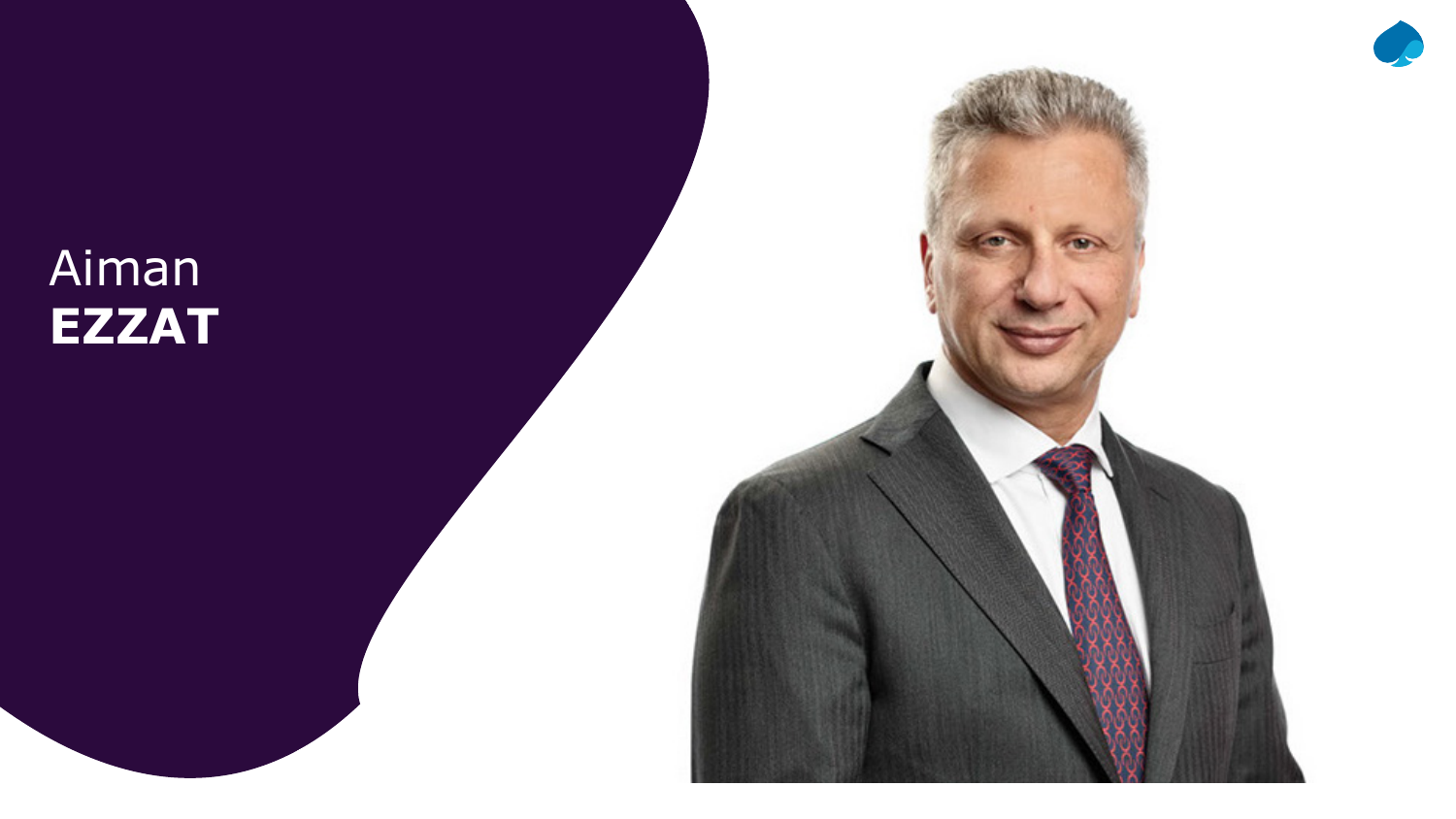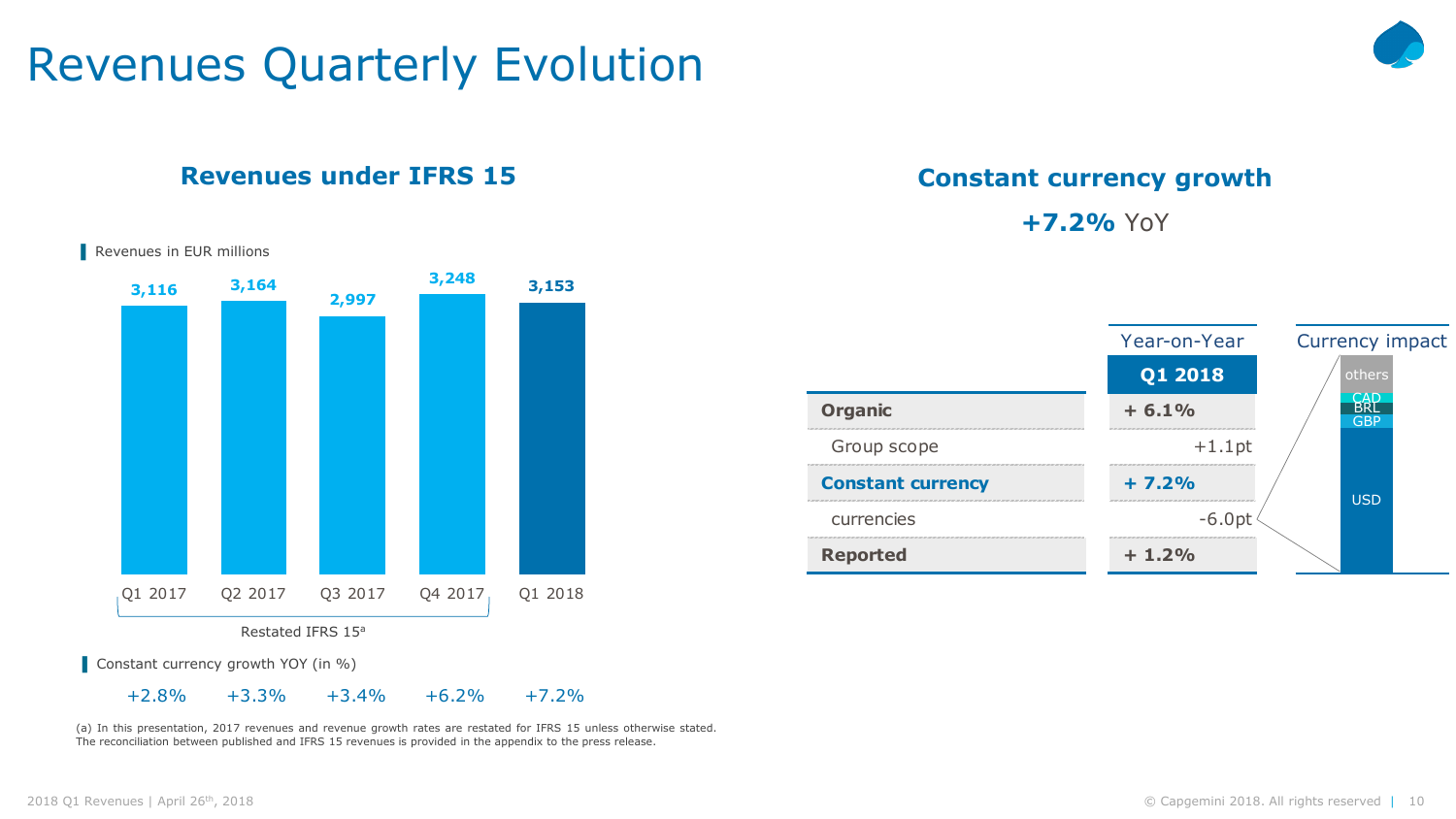### Revenues Quarterly Evolution

#### **Revenues under IFRS 15**



(a) In this presentation, 2017 revenues and revenue growth rates are restated for IFRS 15 unless otherwise stated. The reconciliation between published and IFRS 15 revenues is provided in the appendix to the press release.

#### **Constant currency growth**

**+7.2%** YoY



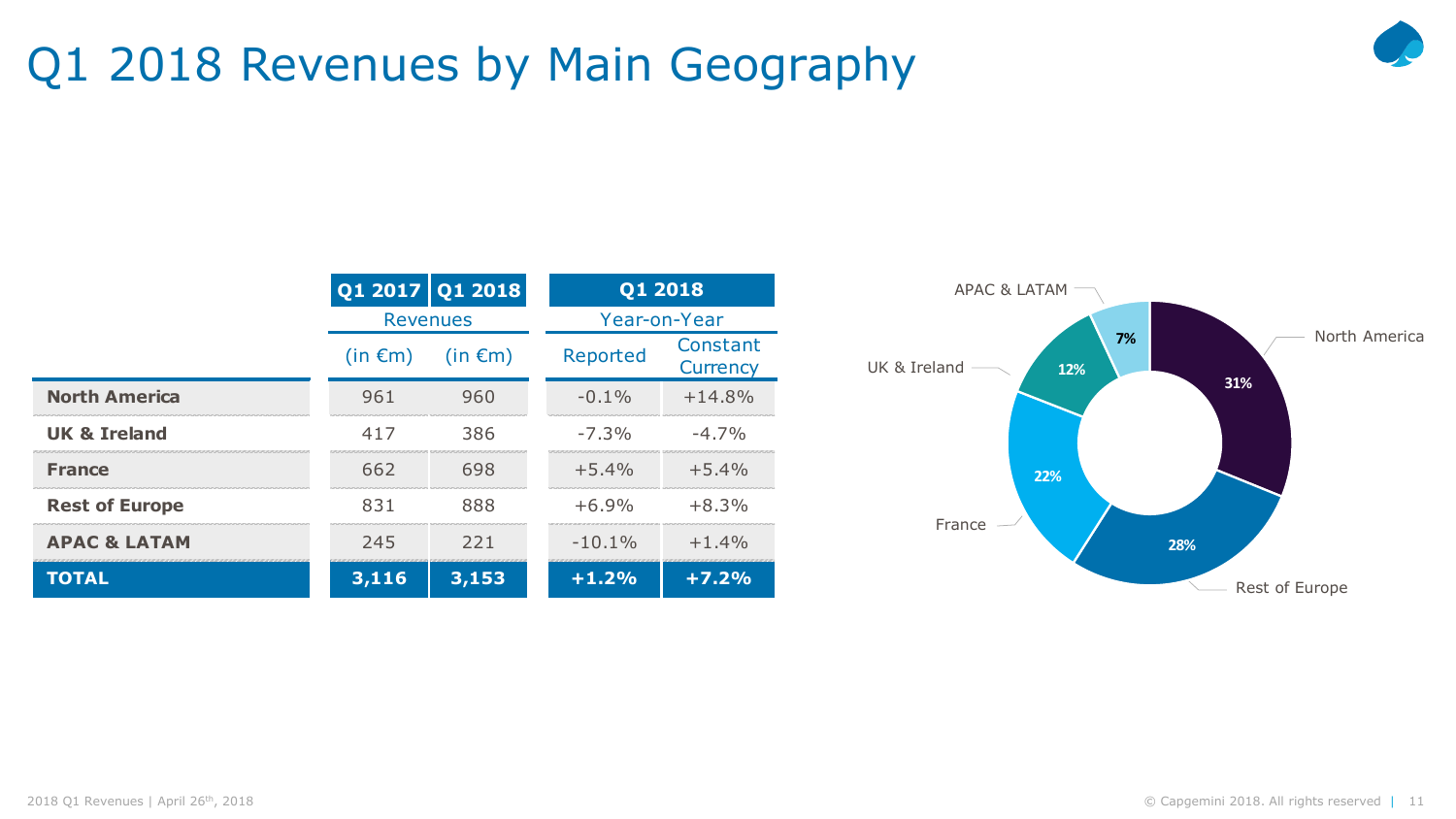### Q1 2018 Revenues by Main Geography



|                         |                 | Q1 2017 Q1 2018 |           | Q1 2018              |  |
|-------------------------|-----------------|-----------------|-----------|----------------------|--|
|                         | <b>Revenues</b> |                 |           | Year-on-Year         |  |
|                         | $(in \in m)$    | $(in \in m)$    | Reported  | Constant<br>Currency |  |
| <b>North America</b>    | 961             | 960             | $-0.1\%$  | $+14.8%$             |  |
| <b>UK &amp; Ireland</b> | 417             | 386             | $-7.3\%$  | $-4.7\%$             |  |
| <b>France</b>           | 662             | 698             | $+5.4\%$  | $+5.4%$              |  |
| <b>Rest of Europe</b>   | 831             | 888             | $+6.9%$   | $+8.3%$              |  |
| <b>APAC &amp; LATAM</b> | 245             | 221             | $-10.1\%$ | $+1.4\%$             |  |
| <b>TOTAL</b>            | 3,116           | 3,153           | $+1.2%$   | $+7.2%$              |  |

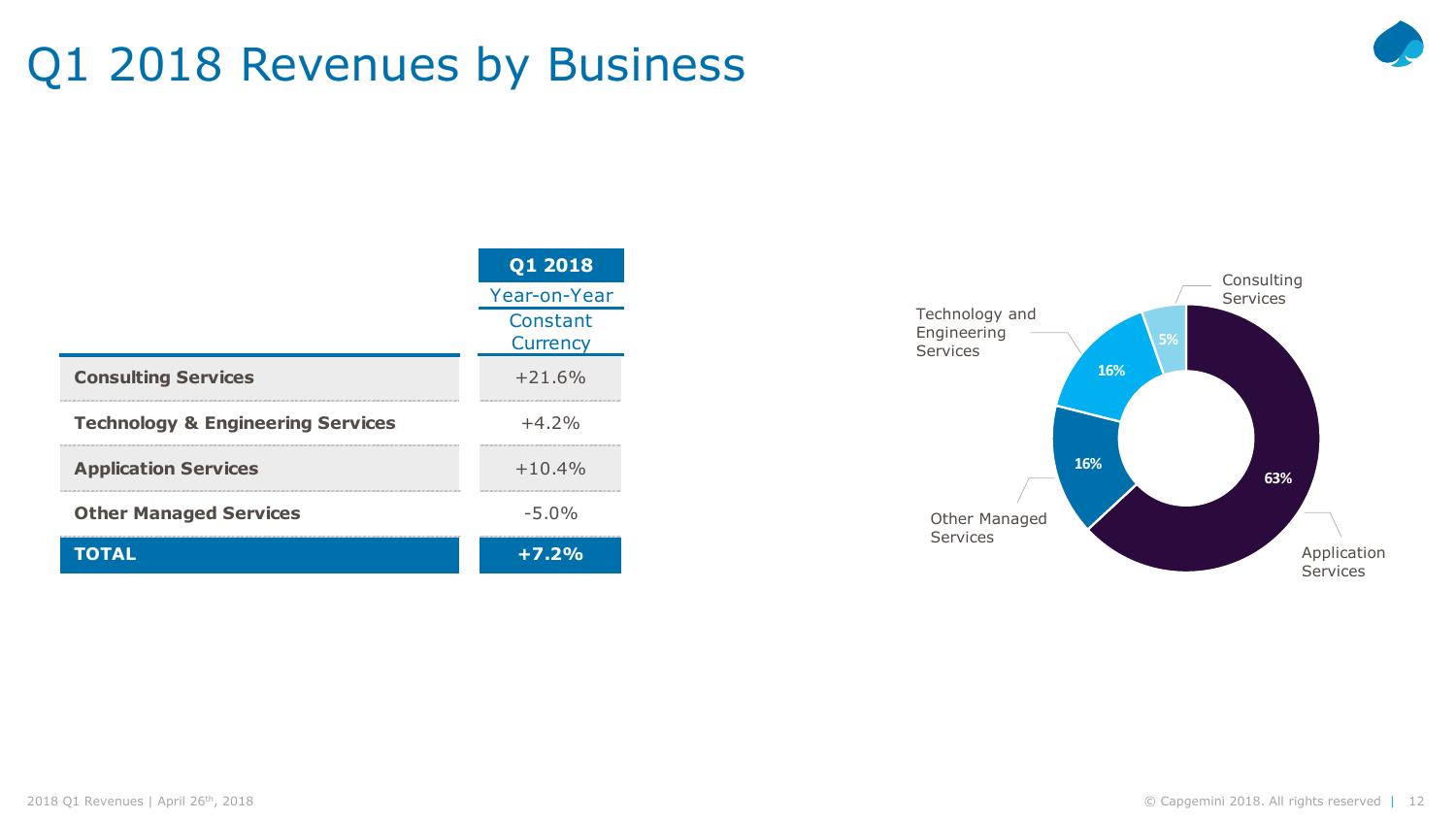### Q1 2018 Revenues by Business



|                                              | Q1 2018              |  |
|----------------------------------------------|----------------------|--|
|                                              | Year-on-Year         |  |
|                                              | Constant<br>Currency |  |
| <b>Consulting Services</b>                   | $+21.6%$             |  |
| <b>Technology &amp; Engineering Services</b> | $+4.2%$              |  |
| <b>Application Services</b>                  | $+10.4%$             |  |
| <b>Other Managed Services</b>                | $-5.0%$              |  |
| <b>TOTAL</b>                                 | $+7.2%$              |  |

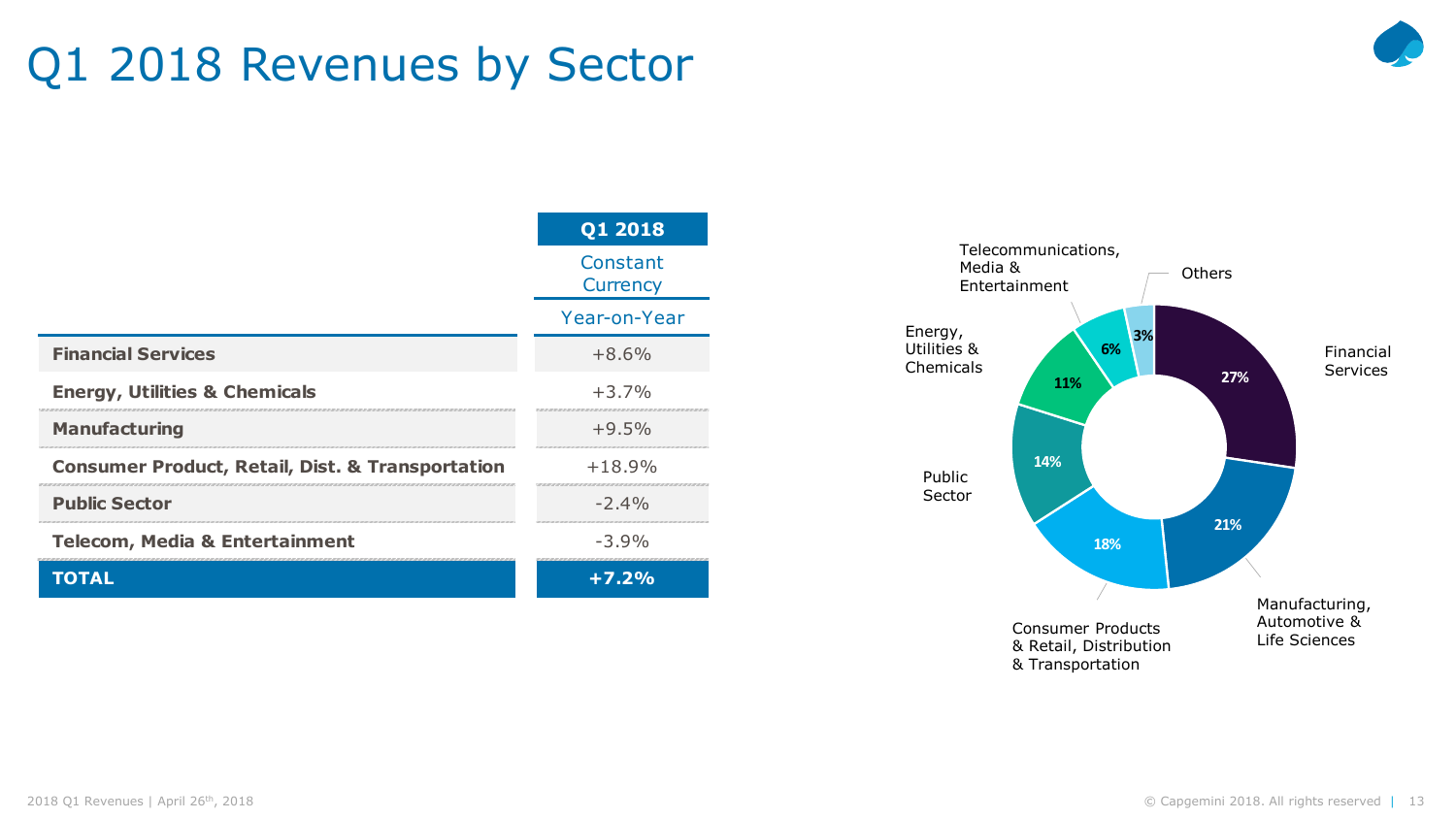### Q1 2018 Revenues by Sector



|                                                             | Constant<br>Currency |  |
|-------------------------------------------------------------|----------------------|--|
|                                                             | Year-on-Year         |  |
| <b>Financial Services</b>                                   | $+8.6%$              |  |
| <b>Energy, Utilities &amp; Chemicals</b>                    | $+3.7%$              |  |
| <b>Manufacturing</b>                                        | $+9.5%$              |  |
| <b>Consumer Product, Retail, Dist. &amp; Transportation</b> | $+18.9%$             |  |
| <b>Public Sector</b>                                        | $-2.4%$              |  |
| <b>Telecom, Media &amp; Entertainment</b>                   | $-3.9%$              |  |
| TOTAL                                                       | $+7.2%$              |  |

**Q1 2018**

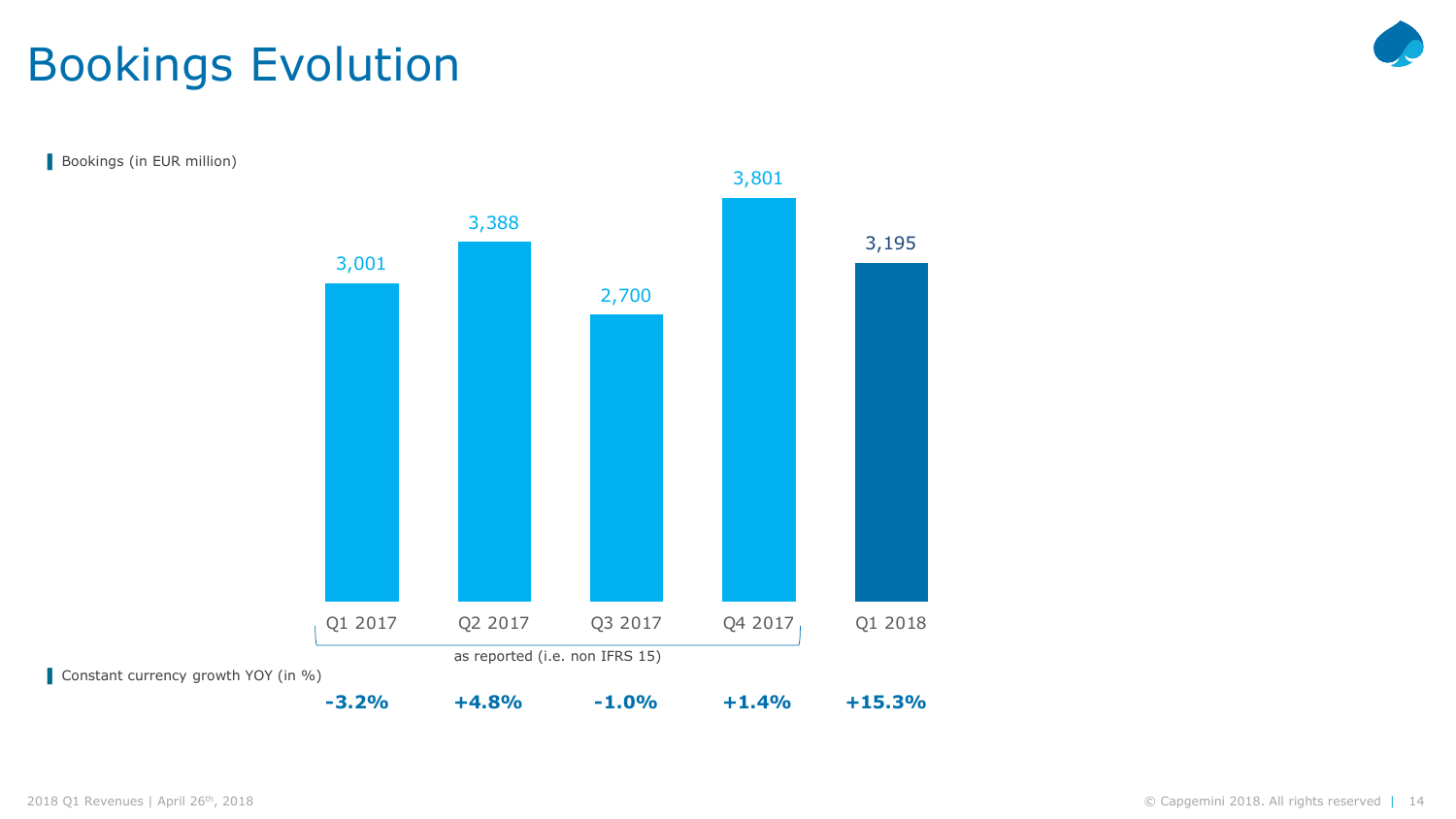### Bookings Evolution



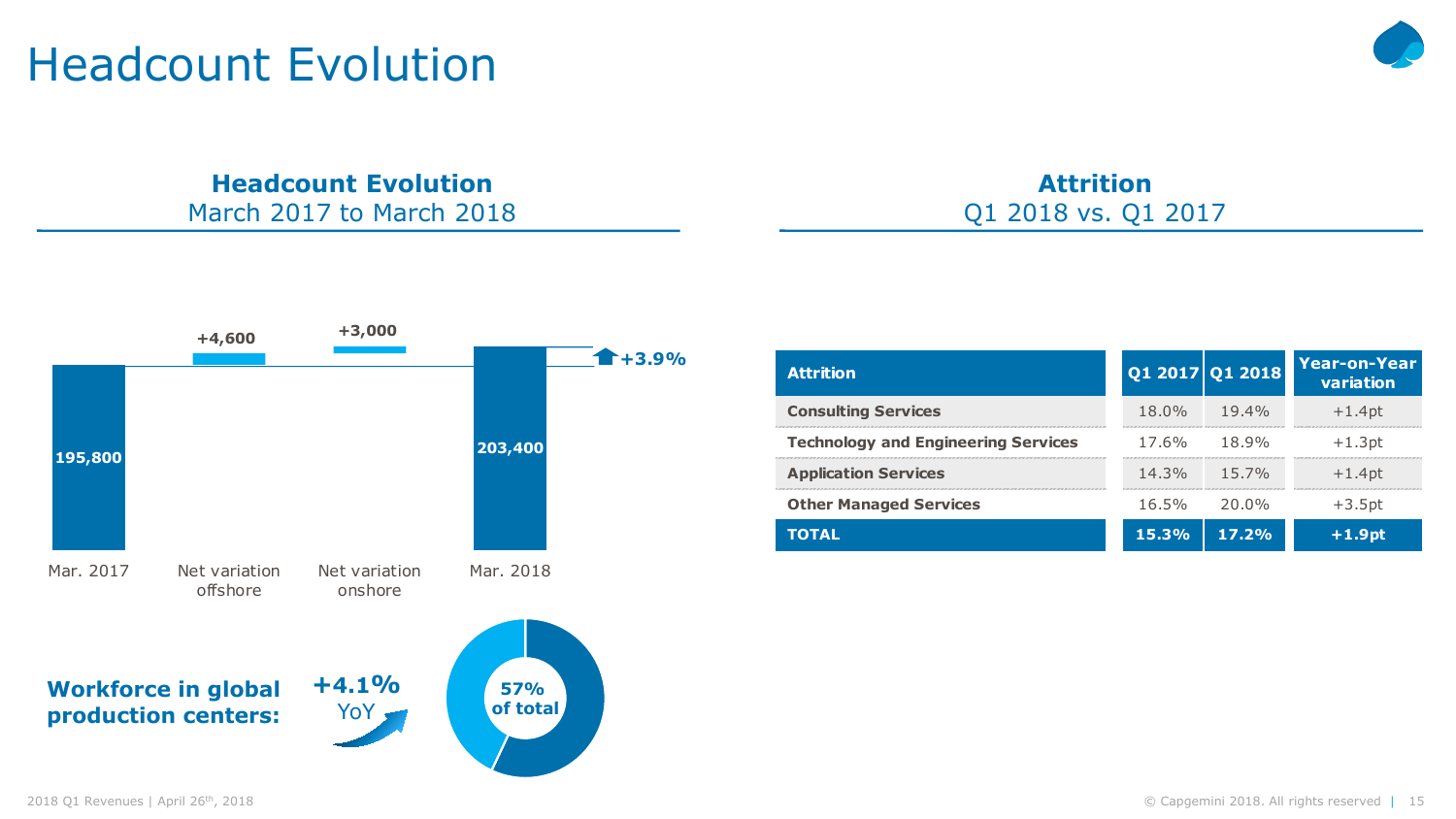### Headcount Evolution



#### **Headcount Evolution** March 2017 to March 2018

**Workforce in global production centers: +4.1%** YoY, **57% of total 195,800 195,799 200,370 203,400** Mar. 2017 Net variation offshore Net variation onshore Mar. 2018 **+4,600 +3,000 +3.9%**

| <b>Attrition</b>                           |          | Q1 2017 Q1 2018 | Year-on-Year<br>variation |
|--------------------------------------------|----------|-----------------|---------------------------|
| <b>Consulting Services</b>                 | $18.0\%$ | $19.4\%$        | $+1.4pt$                  |
| <b>Technology and Engineering Services</b> | $17.6\%$ | 18.9%           | $+1.3pt$                  |
| <b>Application Services</b>                | $14.3\%$ | $15.7\%$        | $+1.4$ pt                 |
| <b>Other Managed Services</b>              | $16.5\%$ | 20.0%           | $+3.5pt$                  |
| <b>TOTAL</b>                               | 15.3%    | 17.2%           | $+1.9pt$                  |

**Attrition**

Q1 2018 vs. Q1 2017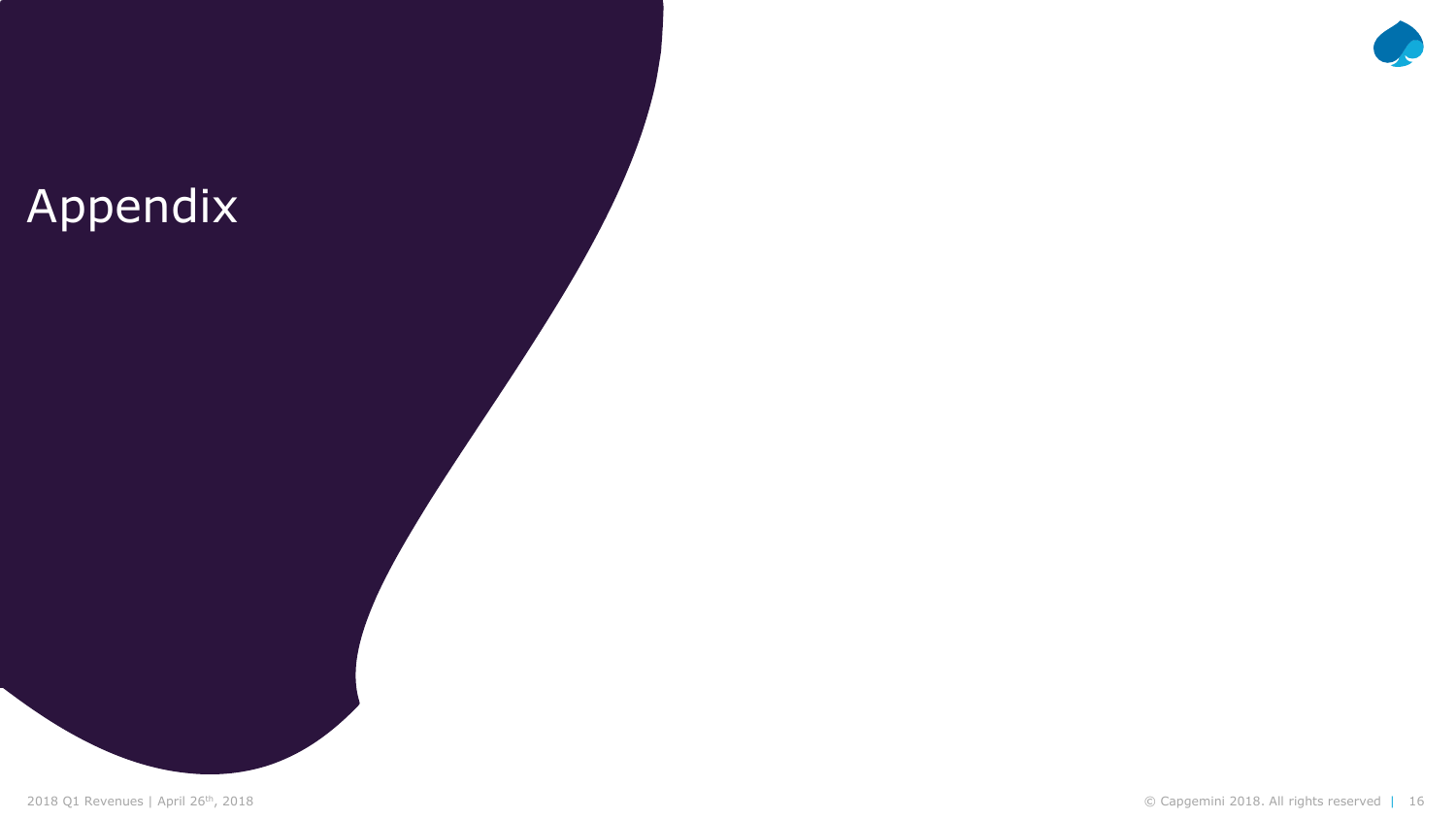### Appendix

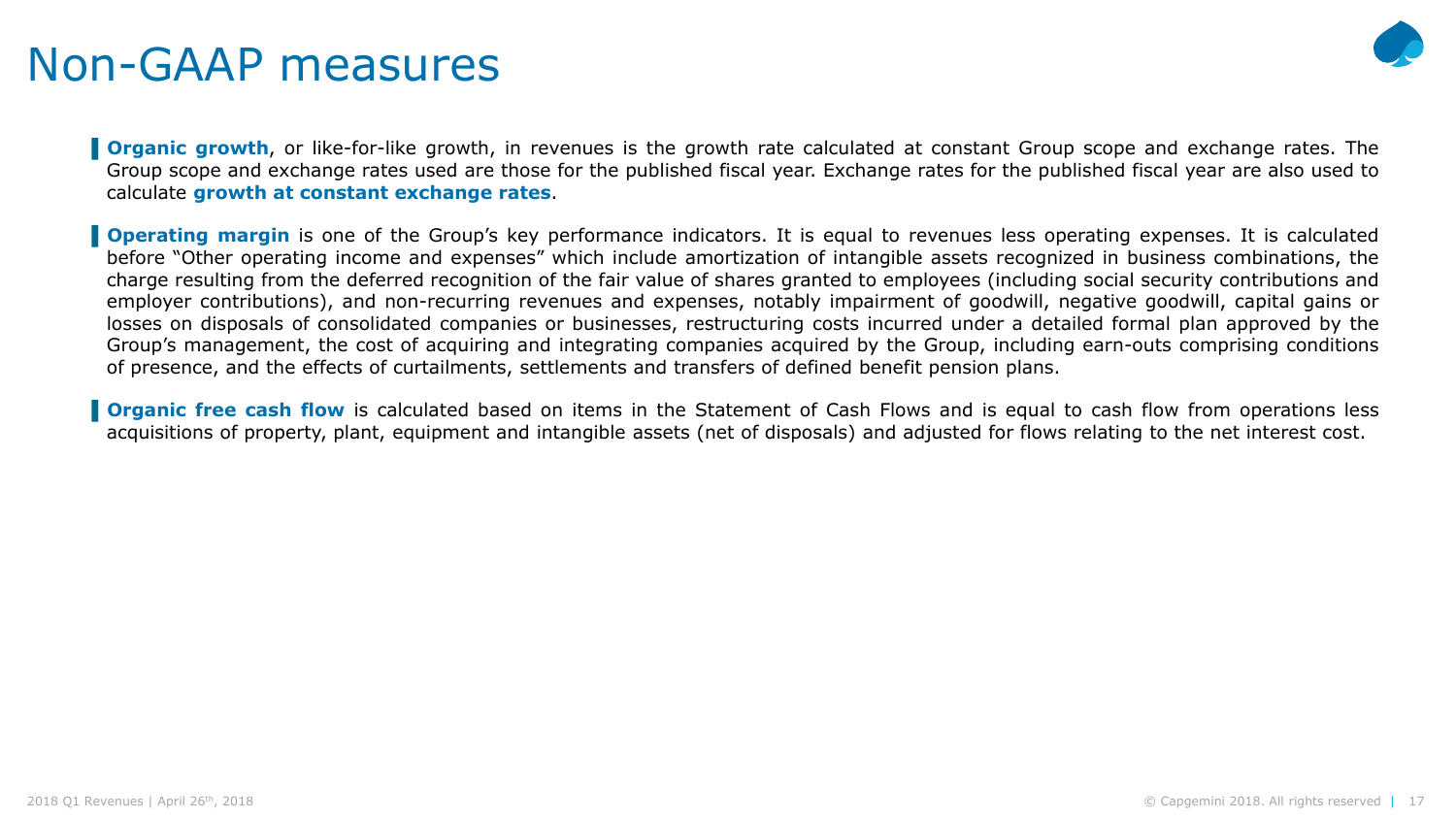### Non-GAAP measures



**Organic growth**, or like-for-like growth, in revenues is the growth rate calculated at constant Group scope and exchange rates. The Group scope and exchange rates used are those for the published fiscal year. Exchange rates for the published fiscal year are also used to calculate **growth at constant exchange rates**.

**Operating margin** is one of the Group's key performance indicators. It is equal to revenues less operating expenses. It is calculated before "Other operating income and expenses" which include amortization of intangible assets recognized in business combinations, the charge resulting from the deferred recognition of the fair value of shares granted to employees (including social security contributions and employer contributions), and non-recurring revenues and expenses, notably impairment of goodwill, negative goodwill, capital gains or losses on disposals of consolidated companies or businesses, restructuring costs incurred under a detailed formal plan approved by the Group's management, the cost of acquiring and integrating companies acquired by the Group, including earn-outs comprising conditions of presence, and the effects of curtailments, settlements and transfers of defined benefit pension plans.

**Organic free cash flow** is calculated based on items in the Statement of Cash Flows and is equal to cash flow from operations less acquisitions of property, plant, equipment and intangible assets (net of disposals) and adjusted for flows relating to the net interest cost.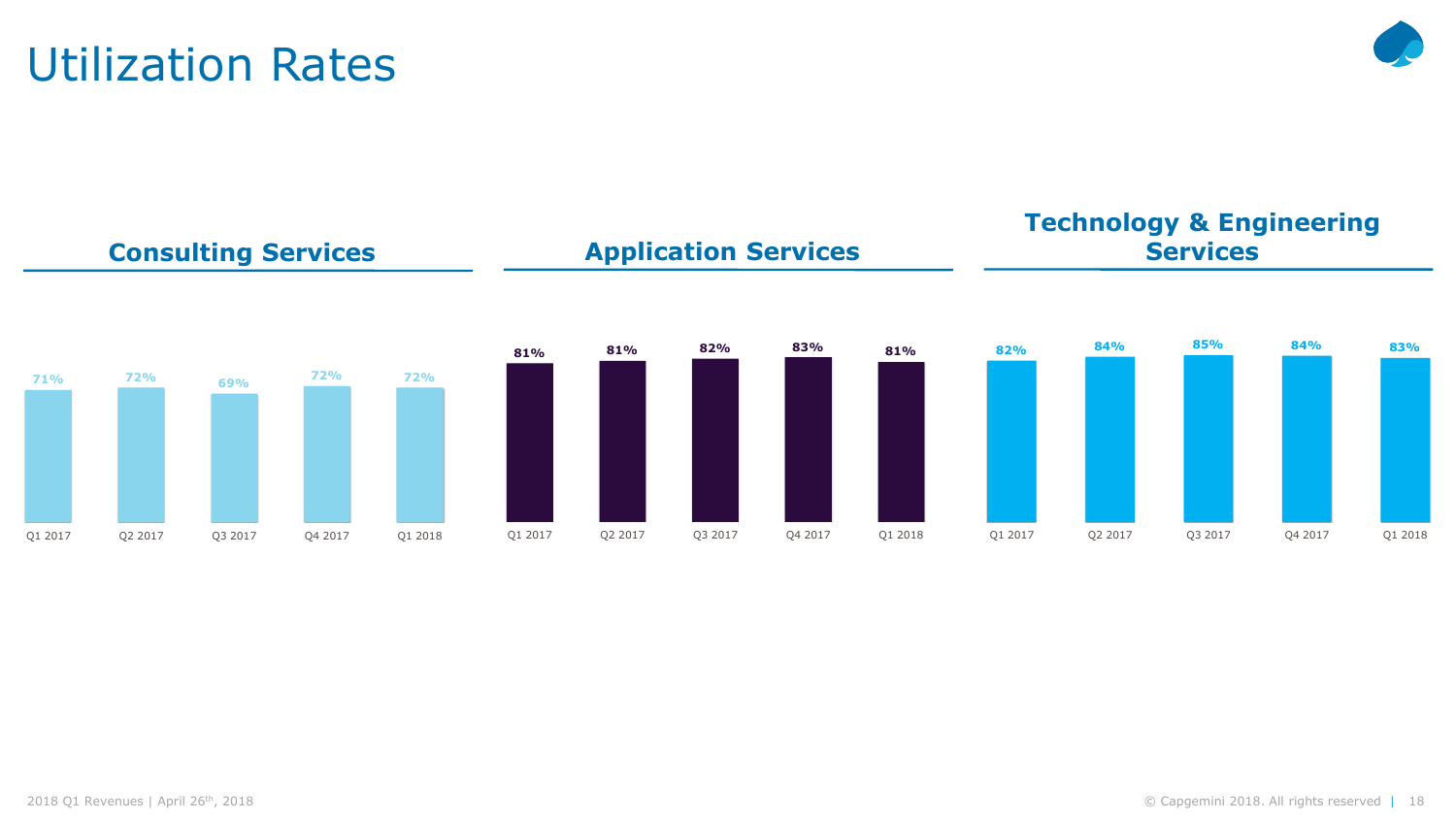**Technology & Engineering** 

# Utilization Rates